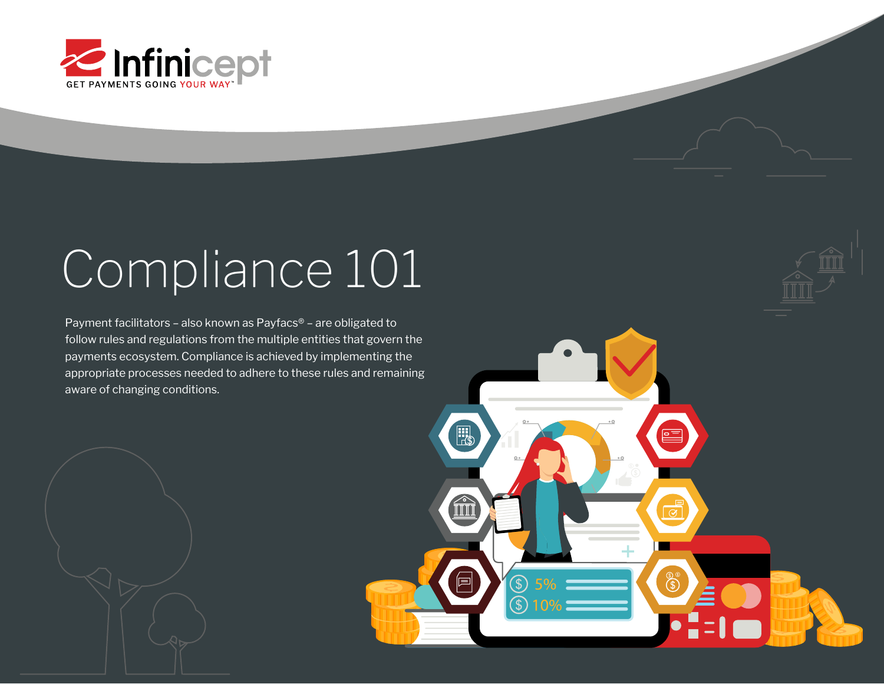

# Compliance 101

 Payment facilitators – also known as Payfacs® – are obligated to follow rules and regulations from the multiple entities that govern the payments ecosystem. Compliance is achieved by implementing the appropriate processes needed to adhere to these rules and remaining aware of changing conditions.



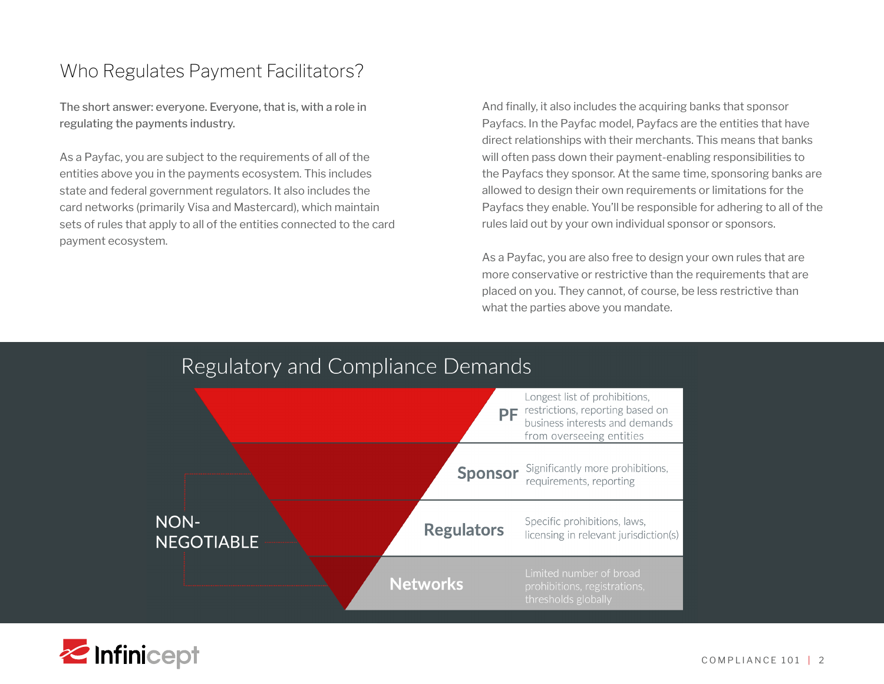## Who Regulates Payment Facilitators?

The short answer: everyone. Everyone, that is, with a role in regulating the payments industry.

As a Payfac, you are subject to the requirements of all of the entities above you in the payments ecosystem. This includes state and federal government regulators. It also includes the card networks (primarily Visa and Mastercard), which maintain sets of rules that apply to all of the entities connected to the card payment ecosystem.

And finally, it also includes the acquiring banks that sponsor Payfacs. In the Payfac model, Payfacs are the entities that have direct relationships with their merchants. This means that banks will often pass down their payment-enabling responsibilities to the Payfacs they sponsor. At the same time, sponsoring banks are allowed to design their own requirements or limitations for the Payfacs they enable. You'll be responsible for adhering to all of the rules laid out by your own individual sponsor or sponsors.

As a Payfac, you are also free to design your own rules that are more conservative or restrictive than the requirements that are placed on you. They cannot, of course, be less restrictive than what the parties above you mandate.

## Regulatory and Compliance Demands



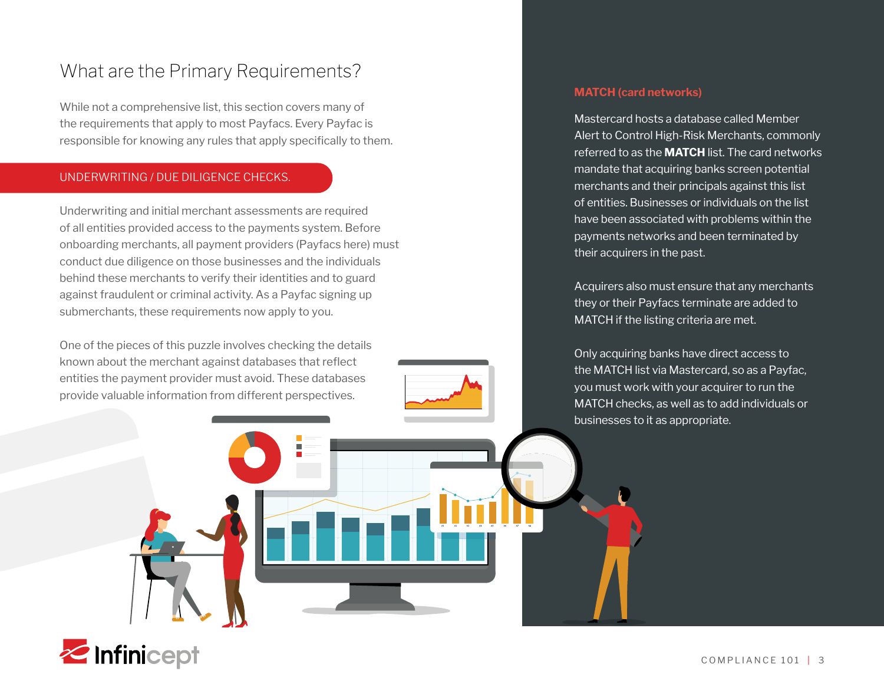## What are the Primary Requirements?

While not a comprehensive list, this section covers many of the requirements that apply to most Payfacs. Every Payfac is responsible for knowing any rules that apply specifically to them.

#### UNDERWRITING / DUE DILIGENCE CHECKS.

Underwriting and initial merchant assessments are required of all entities provided access to the payments system. Before onboarding merchants, all payment providers (Payfacs here) must conduct due diligence on those businesses and the individuals behind these merchants to verify their identities and to guard against fraudulent or criminal activity. As a Payfac signing up submerchants, these requirements now apply to you.

One of the pieces of this puzzle involves checking the details known about the merchant against databases that reflect entities the payment provider must avoid. These databases provide valuable information from different perspectives.



#### **MATCH (card networks)**

Mastercard hosts a database called Member Alert to Control High-Risk Merchants, commonly referred to as the **MATCH** list. The card networks mandate that acquiring banks screen potential merchants and their principals against this list of entities. Businesses or individuals on the list have been associated with problems within the payments networks and been terminated by their acquirers in the past.

Acquirers also must ensure that any merchants they or their Payfacs terminate are added to MATCH if the listing criteria are met.

Only acquiring banks have direct access to the MATCH list via Mastercard, so as a Payfac, you must work with your acquirer to run the MATCH checks, as well as to add individuals or businesses to it as appropriate.

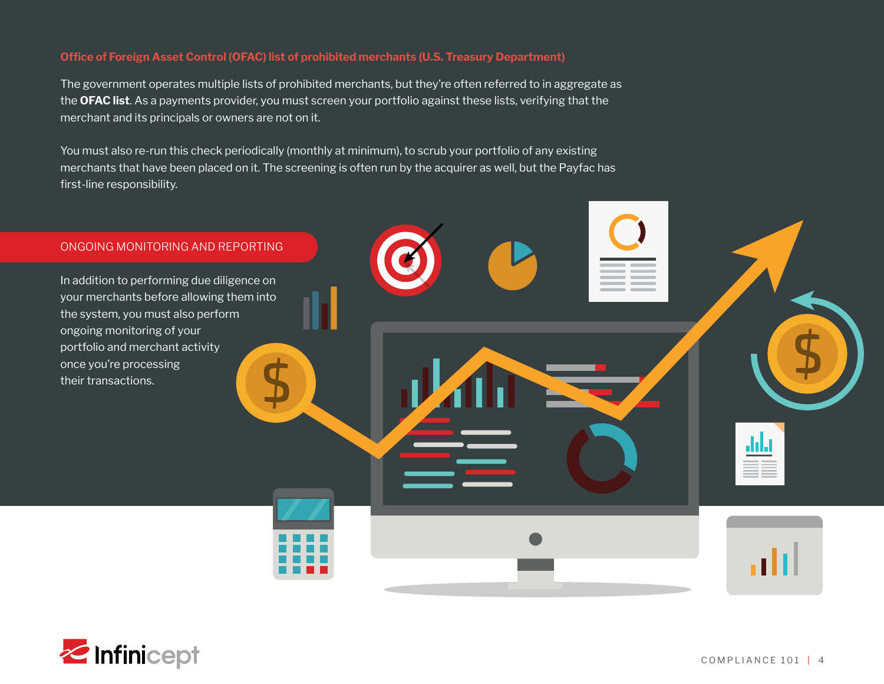#### **Office of Foreign Asset Control (OFAC) list of prohibited merchants (U.S. Treasury Department)**

The government operates multiple lists of prohibited merchants, but they're often referred to in aggregate as the **OFAC list**. As a payments provider, you must screen your portfolio against these lists, verifying that the merchant and its principals or owners are not on it.

You must also re-run this check periodically (monthly at minimum), to scrub your portfolio of any existing merchants that have been placed on it. The screening is often run by the acquirer as well, but the Payfac has first-line responsibility.



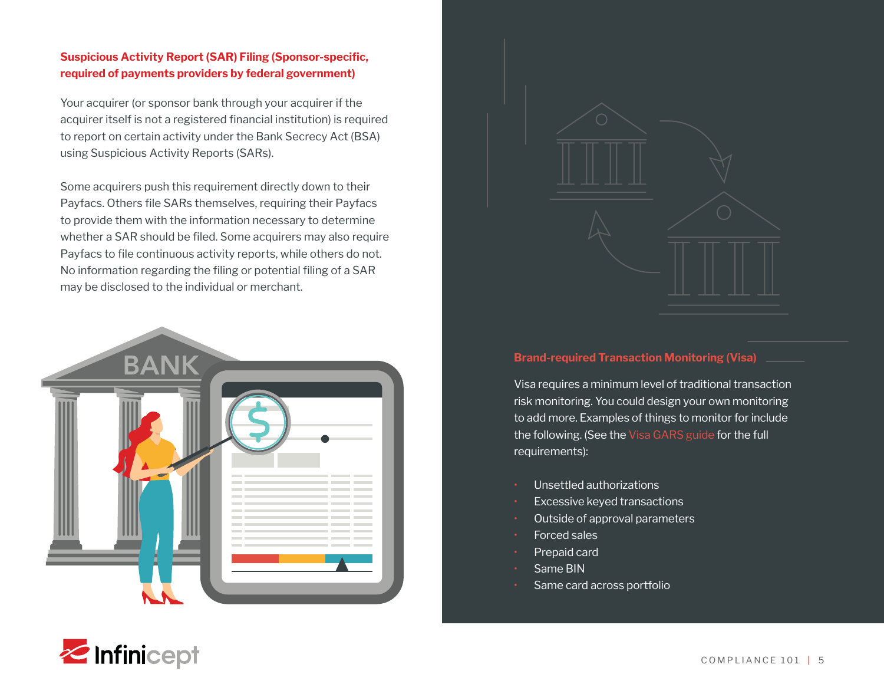#### **Suspicious Activity Report (SAR) Filing (Sponsor-specific, required of payments providers by federal government)**

Your acquirer (or sponsor bank through your acquirer if the acquirer itself is not a registered financial institution) is required to report on certain activity under the Bank Secrecy Act (BSA) using Suspicious Activity Reports (SARs).

Some acquirers push this requirement directly down to their Payfacs. Others file SARs themselves, requiring their Payfacs to provide them with the information necessary to determine whether a SAR should be filed. Some acquirers may also require Payfacs to file continuous activity reports, while others do not. No information regarding the filing or potential filing of a SAR may be disclosed to the individual or merchant.





#### **Brand-required Transaction Monitoring (Visa)**

Visa requires a minimum level of traditional transaction risk monitoring. You could design your own monitoring to add more. Examples of things to monitor for include the following. (See the [Visa GARS guide](https://usa.visa.com/content/dam/VCOM/regional/na/us/partner-with-us/documents/visa-payment-facilitator-and-marketplace-risk-guide.pdf) for the full requirements):

- Unsettled authorizations
- Excessive keyed transactions
- Outside of approval parameters
- Forced sales
- Prepaid card
- Same BIN
- Same card across portfolio

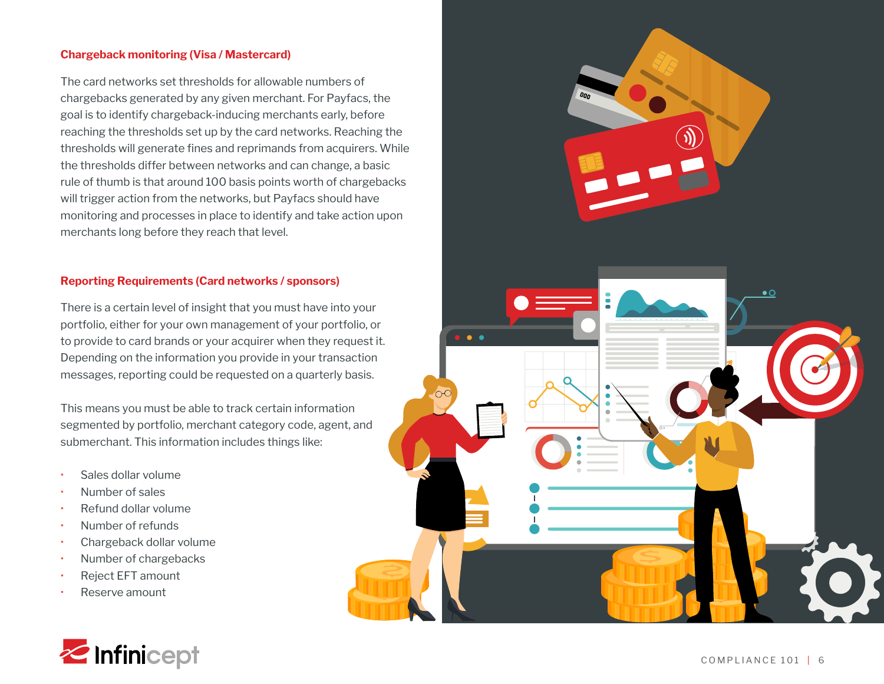#### **Chargeback monitoring (Visa / Mastercard)**

The card networks set thresholds for allowable numbers of chargebacks generated by any given merchant. For Payfacs, the goal is to identify chargeback-inducing merchants early, before reaching the thresholds set up by the card networks. Reaching the thresholds will generate fines and reprimands from acquirers. While the thresholds differ between networks and can change, a basic rule of thumb is that around 100 basis points worth of chargebacks will trigger action from the networks, but Payfacs should have monitoring and processes in place to identify and take action upon merchants long before they reach that level.

#### **Reporting Requirements (Card networks / sponsors)**

There is a certain level of insight that you must have into your portfolio, either for your own management of your portfolio, or to provide to card brands or your acquirer when they request it. Depending on the information you provide in your transaction messages, reporting could be requested on a quarterly basis.

This means you must be able to track certain information segmented by portfolio, merchant category code, agent, and submerchant. This information includes things like:

- Sales dollar volume
- Number of sales
- Refund dollar volume
- Number of refunds
- Chargeback dollar volume
- Number of chargebacks
- Reject EFT amount
- Reserve amount



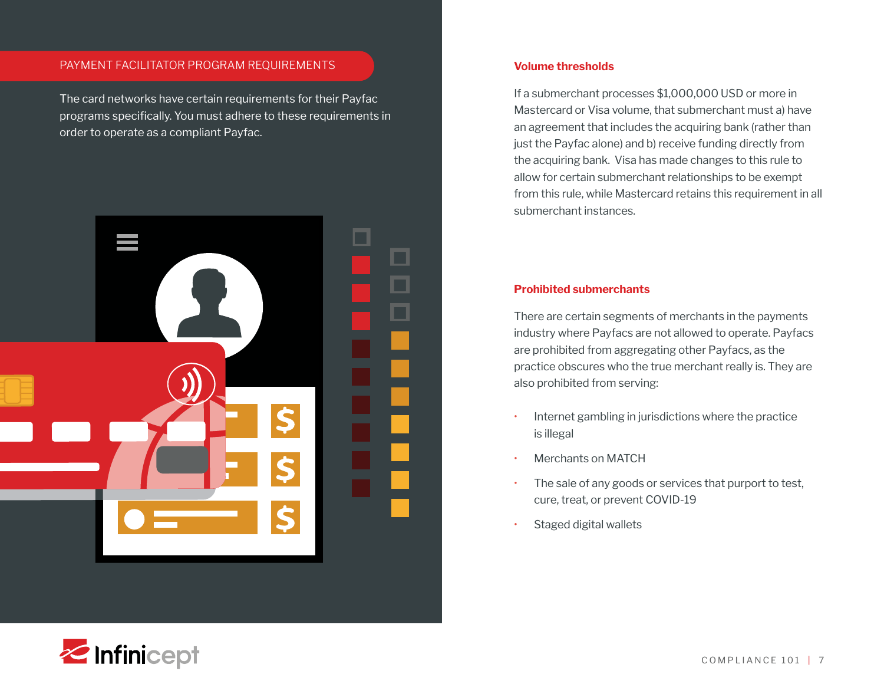#### PAYMENT FACILITATOR PROGRAM REQUIREMENTS

The card networks have certain requirements for their Payfac programs specifically. You must adhere to these requirements in order to operate as a compliant Payfac.



#### **Volume thresholds**

If a submerchant processes \$1,000,000 USD or more in Mastercard or Visa volume, that submerchant must a) have an agreement that includes the acquiring bank (rather than just the Payfac alone) and b) receive funding directly from the acquiring bank. Visa has made changes to this rule to allow for certain submerchant relationships to be exempt from this rule, while Mastercard retains this requirement in all submerchant instances.

#### **Prohibited submerchants**

There are certain segments of merchants in the payments industry where Payfacs are not allowed to operate. Payfacs are prohibited from aggregating other Payfacs, as the practice obscures who the true merchant really is. They are also prohibited from serving:

- Internet gambling in jurisdictions where the practice is illegal
- Merchants on MATCH
- The sale of any goods or services that purport to test, cure, treat, or prevent COVID-19
- Staged digital wallets

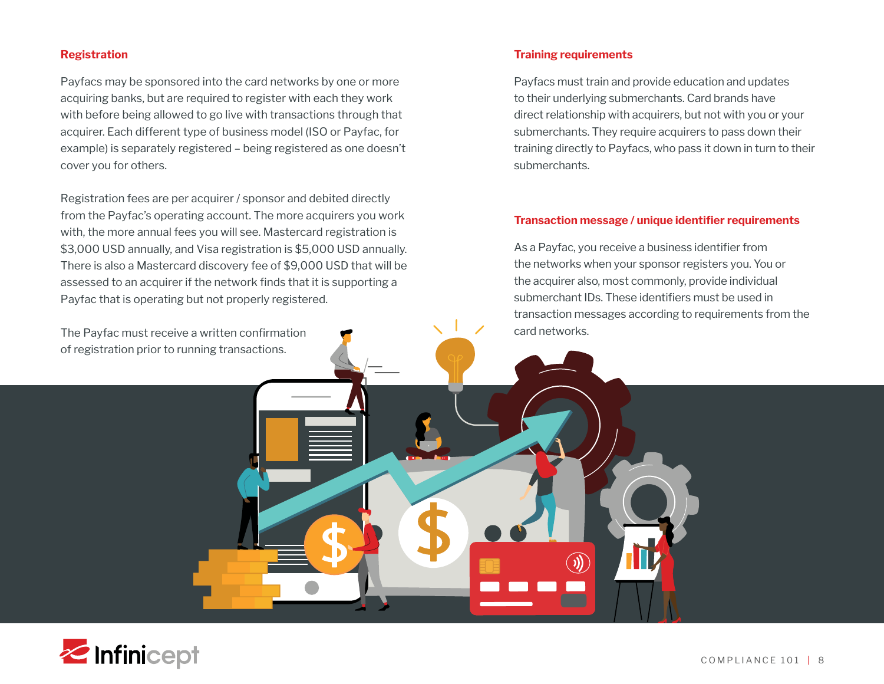#### **Registration**

Payfacs may be sponsored into the card networks by one or more acquiring banks, but are required to register with each they work with before being allowed to go live with transactions through that acquirer. Each different type of business model (ISO or Payfac, for example) is separately registered – being registered as one doesn't cover you for others.

Registration fees are per acquirer / sponsor and debited directly from the Payfac's operating account. The more acquirers you work with, the more annual fees you will see. Mastercard registration is \$3,000 USD annually, and Visa registration is \$5,000 USD annually. There is also a Mastercard discovery fee of \$9,000 USD that will be assessed to an acquirer if the network finds that it is supporting a Payfac that is operating but not properly registered.

The Payfac must receive a written confirmation of registration prior to running transactions.

#### **Training requirements**

 $\left(\widehat{\mathbf{M}}\right)$ 

Payfacs must train and provide education and updates to their underlying submerchants. Card brands have direct relationship with acquirers, but not with you or your submerchants. They require acquirers to pass down their training directly to Payfacs, who pass it down in turn to their submerchants.

#### **Transaction message / unique identifier requirements**

As a Payfac, you receive a business identifier from the networks when your sponsor registers you. You or the acquirer also, most commonly, provide individual submerchant IDs. These identifiers must be used in transaction messages according to requirements from the card networks.

**Z**Infinicept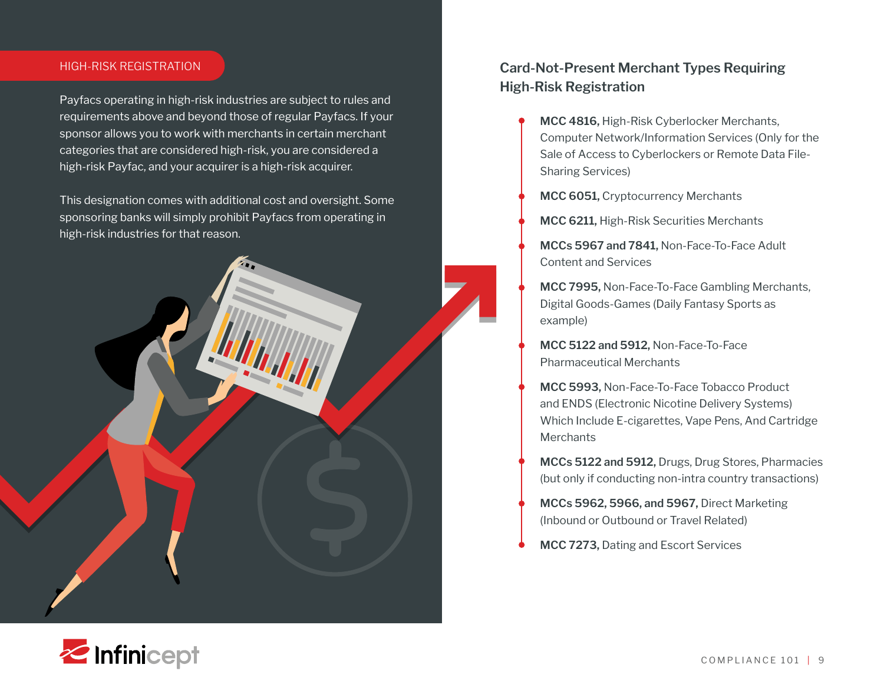#### HIGH-RISK REGISTRATION

Payfacs operating in high-risk industries are subject to rules and requirements above and beyond those of regular Payfacs. If your sponsor allows you to work with merchants in certain merchant categories that are considered high-risk, you are considered a high-risk Payfac, and your acquirer is a high-risk acquirer.

This designation comes with additional cost and oversight. Some sponsoring banks will simply prohibit Payfacs from operating in high-risk industries for that reason.

### **Card-Not-Present Merchant Types Requiring High-Risk Registration**

- **MCC 4816,** High-Risk Cyberlocker Merchants, Computer Network/Information Services (Only for the Sale of Access to Cyberlockers or Remote Data File-Sharing Services)
- **MCC 6051,** Cryptocurrency Merchants
- **MCC 6211,** High-Risk Securities Merchants
- **MCCs 5967 and 7841,** Non-Face-To-Face Adult Content and Services
- **MCC 7995,** Non-Face-To-Face Gambling Merchants, Digital Goods-Games (Daily Fantasy Sports as example)
- **MCC 5122 and 5912,** Non-Face-To-Face Pharmaceutical Merchants
- **MCC 5993,** Non-Face-To-Face Tobacco Product and ENDS (Electronic Nicotine Delivery Systems) Which Include E-cigarettes, Vape Pens, And Cartridge **Merchants**
- **MCCs 5122 and 5912,** Drugs, Drug Stores, Pharmacies (but only if conducting non-intra country transactions)
- **MCCs 5962, 5966, and 5967,** Direct Marketing (Inbound or Outbound or Travel Related)
- **MCC 7273,** Dating and Escort Services

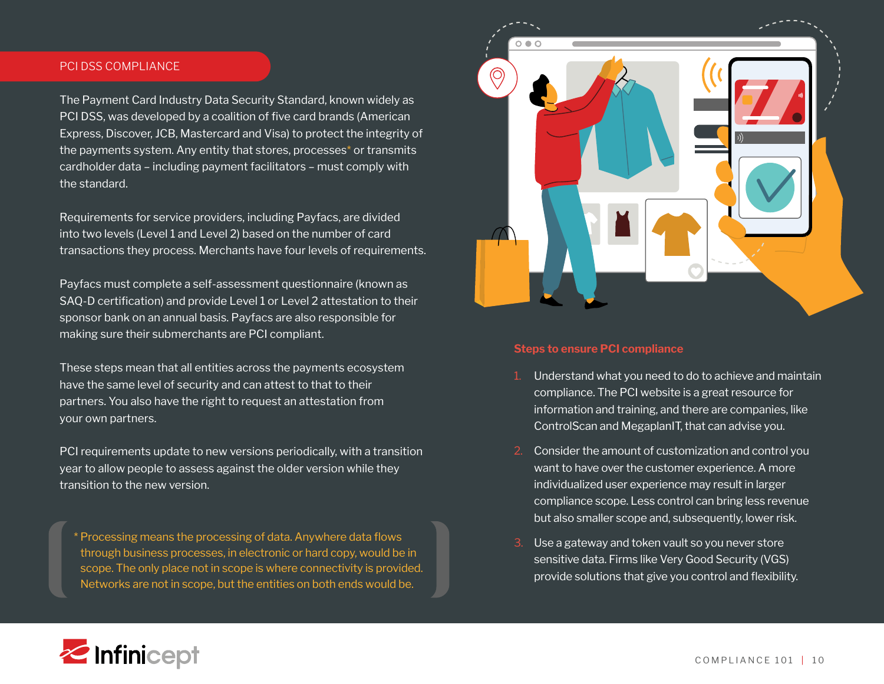#### PCI DSS COMPLIANCE

The Payment Card Industry Data Security Standard, known widely as PCI DSS, was developed by a coalition of five card brands (American Express, Discover, JCB, Mastercard and Visa) to protect the integrity of the payments system. Any entity that stores, processes\* or transmits cardholder data – including payment facilitators – must comply with the standard.

Requirements for service providers, including Payfacs, are divided into two levels (Level 1 and Level 2) based on the number of card transactions they process. Merchants have four levels of requirements.

Payfacs must complete a self-assessment questionnaire (known as SAQ-D certification) and provide Level 1 or Level 2 attestation to their sponsor bank on an annual basis. Payfacs are also responsible for making sure their submerchants are PCI compliant.

These steps mean that all entities across the payments ecosystem have the same level of security and can attest to that to their partners. You also have the right to request an attestation from your own partners.

PCI requirements update to new versions periodically, with a transition year to allow people to assess against the older version while they transition to the new version.

\* Processing means the processing of data. Anywhere data flows through business processes, in electronic or hard copy, would be in scope. The only place not in scope is where connectivity is provided. Networks are not in scope, but the entities on both ends would be.



#### **Steps to ensure PCI compliance**

- 1. Understand what you need to do to achieve and maintain compliance. The PCI website is a great resource for information and training, and there are companies, like ControlScan and MegaplanIT, that can advise you.
- 2. Consider the amount of customization and control you want to have over the customer experience. A more individualized user experience may result in larger compliance scope. Less control can bring less revenue but also smaller scope and, subsequently, lower risk.
- Use a gateway and token vault so you never store sensitive data. Firms like Very Good Security (VGS) provide solutions that give you control and flexibility.